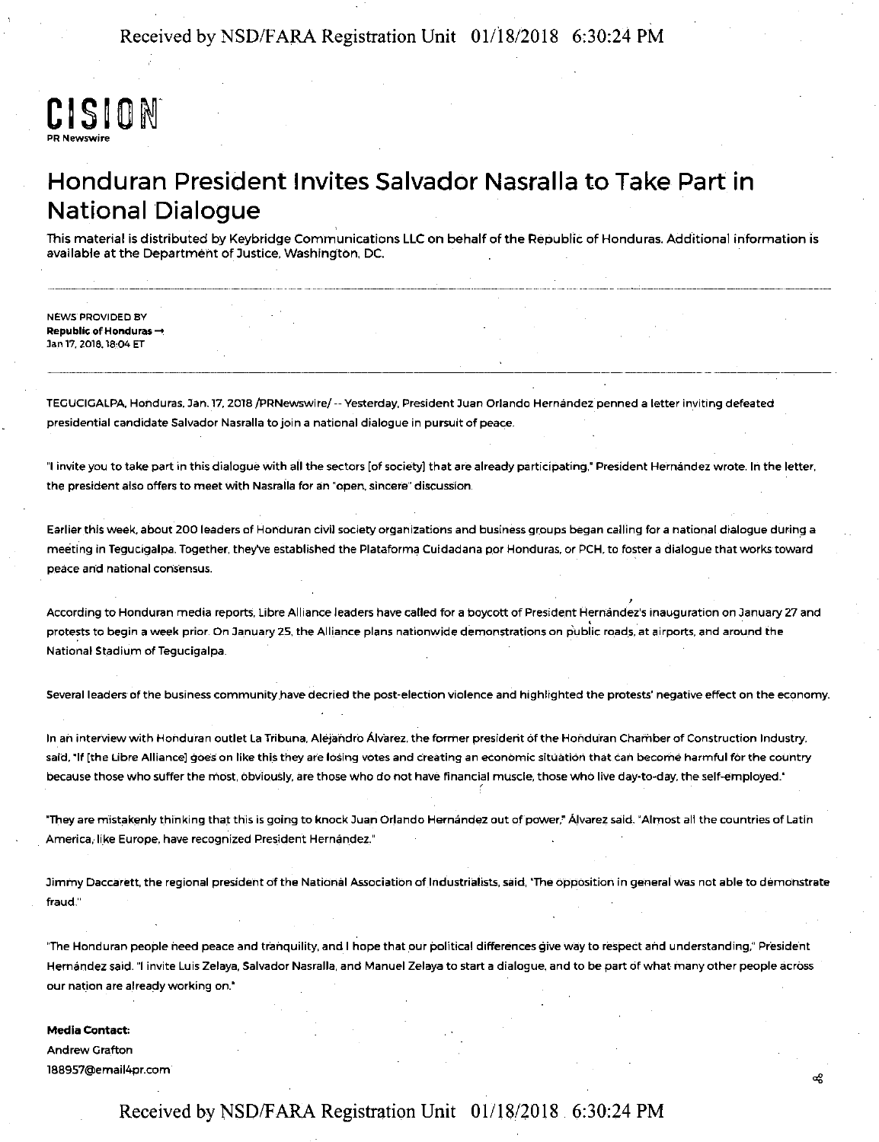

## Honduran President Invites Salvador Nasralla to Take Part in National Dialogue

This material is distributed by Keybridge Communications LLC on behalf cf the Republic cf Honduras. Additional information is available at the Department of Justice, Washington, DC.

NEWS PROVIDED BY **Republic of Honduras-+**  Jan 17, 2018, 18:04 ET

TEGUCIGALPA. Honduras, Jan.17.2018 /PRNewswire/ -- Yesterday, President Juan Orlando Hernandez penned a letter in\_viting defeated presidential candidate Salvador Nasralla to join a national dialogue in pursuit of peace.

"I invite you to take part in this dialogue with all the sectors [of society] that are already participating," President Hernandez wrote. In the letter, the president also offers to meet with Nasrafla for ain "open, sincere" discussion.

Earlier this week, about 200 leaders of Honduran civil society organizations and business groups began calling for a national dialogue during a meeting in Tegucigalpa. Together, they've established the Plataforma Cuidadana por Honduras, or PCH, to foster a dialogue that works toward peace and national consensus.

According to Honduran media reports, Libre Alliance leaders have called for a boycott of President Hernández's inauguration on January 27 and protests to begin a week prior. On January 25, the Alliance plans nationwide demonstrations on public roads, at airports, and around the National Stadium of Tegucigalpa.

Several leaders of the business community have decried the post-election violence and highlighted the protests' negative effect on the economy.

In an interview with Honduran outlet La Tribuna, Alejandro Álvarez, the former president of the Honduran Chamber of Construction Industry, said, "If [the Libre Alliance] goes on like this they are losing votes and creating an economic situation that can become harmful for the country because those who suffer the most, obviously, are those who do not have financial muscle, those who live day-to-day, the self-employed."

"They are mistakenly thinking that this is going to knock Juan Orlando Hernández out of power," Alvarez said. "Almost all the countries of Latin America, like Europe, have recognized President Hernandez."

Jimmy Daccarett, the regional president of the National Association of Industrialists, said, 'The opposition in general was not able to demonstrate fraud."

"The Honduran people need peace and tranquility, and I hope that our political differences give way to respect and understanding," President Hernandez said. "I invite Luis Zelaya, Salvador Nasralla, and Manuel Zelaya to start a dialogue, and to be part of what many other people across our nation are already working on."

æ

**Media Contact:**  Andrew Grafton l88957@email4pr.com

#### Received by NSD/F ARA Registration Unit 01/18/2018 6:30:24 PM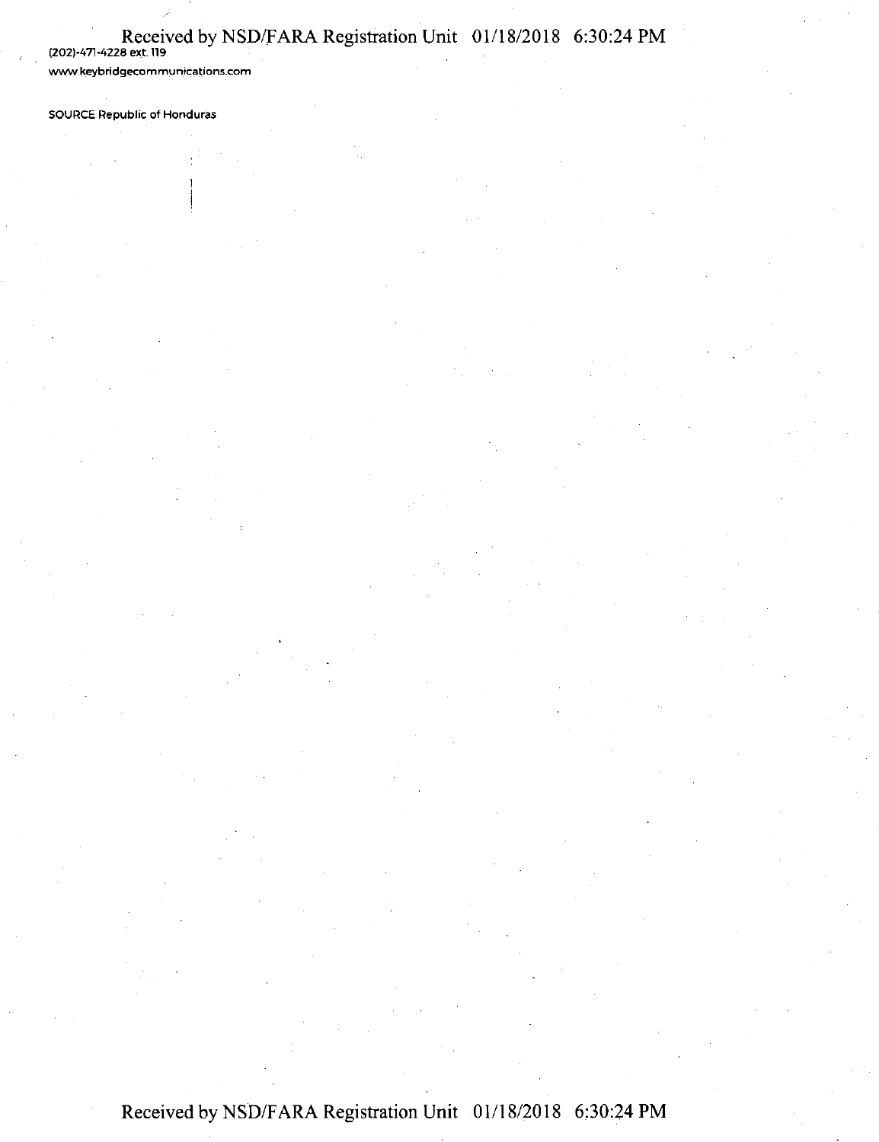# Received by NSD/FARA Registration Unit 01/18/2018 6:30:24 PM<br>(202)-471-4228 ext. 119

**www.keybridgecommun\_ications.com** 

**SOURCE Republic of Honduras**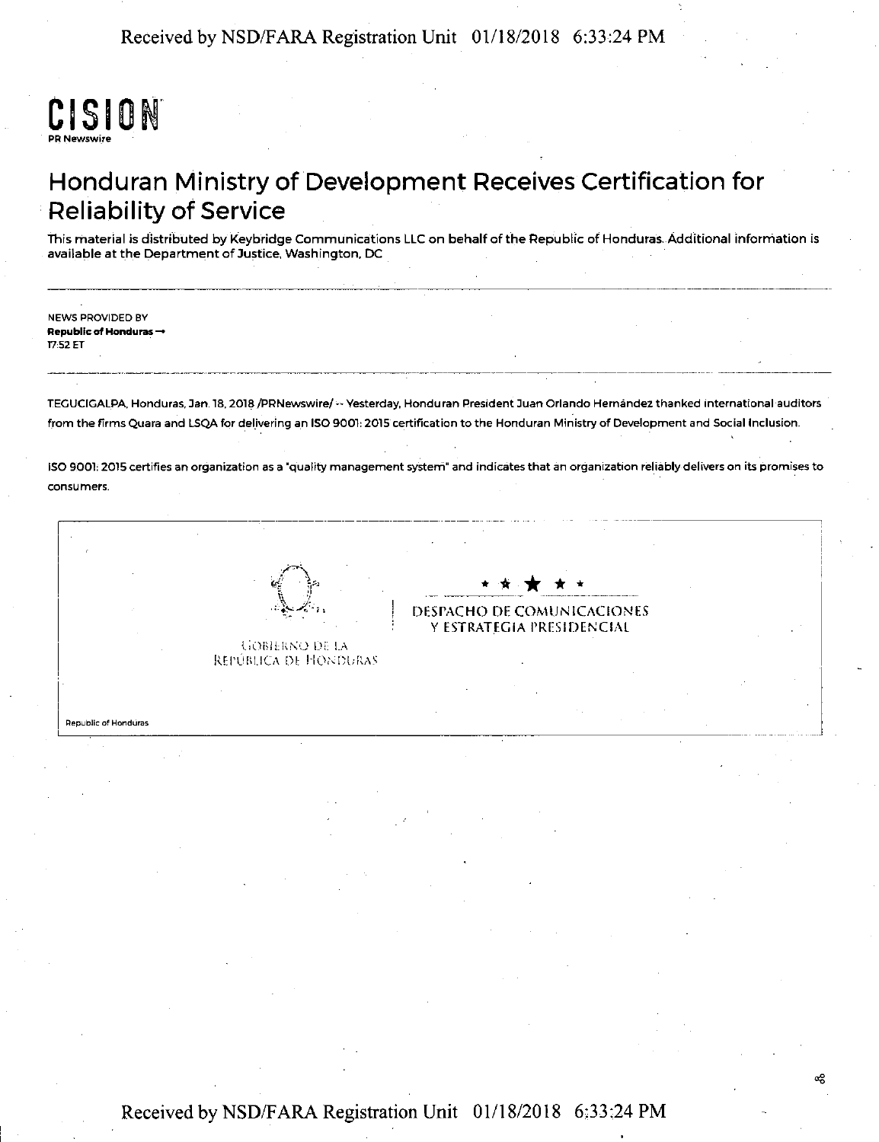

## Honduran Ministry of Development Receives Certification for **Reliability of Service**

This material is distributed by Keybridge Communications LLC on behalf of the Republic of Honduras. Additional information is available at the Department of Justice, Washington, DC

**NEWS PROVIDED BY Republic of Honduras →** 17:52 ET

TEGUCIGALPA, Honduras, Jan. 18, 2018 /PRNewswire/ -- Yesterday, Honduran President Juan Orlando Hernández thanked international auditors from the firms Quara and LSQA for delivering an ISO 9001: 2015 certification to the Honduran Ministry of Development and Social Inclusion.

ISO 9001: 2015 certifies an organization as a 'quality management system" and indicates that an organization reliably delivers on its promises to consumers

DESPACHO DE COMUNICACIONES Y ESTRATEGIA PRESIDENCIAL **GOBIERNO DE LA** REPÚBLICA DE HONDURAS **Republic of Honduras** 

ఱ